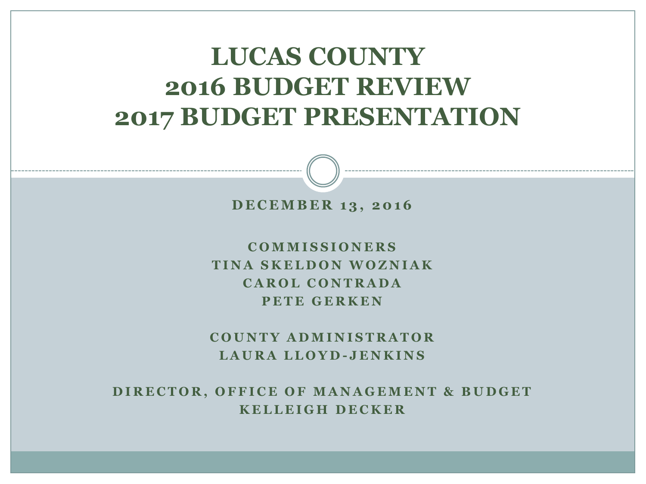#### **LUCAS COUNTY 2016 BUDGET REVIEW 2017 BUDGET PRESENTATION**



**C O M M I S S I O N E R S T I N A S K E L D O N W O Z N I A K C A R O L C O N T R A D A PETE GERKEN** 

**C O U N T Y A D M I N I S T R A T O R L A U R A L L O Y D - J E N K I N S**

DIRECTOR, OFFICE OF MANAGEMENT & BUDGET **K E L L E I G H D E C K E R**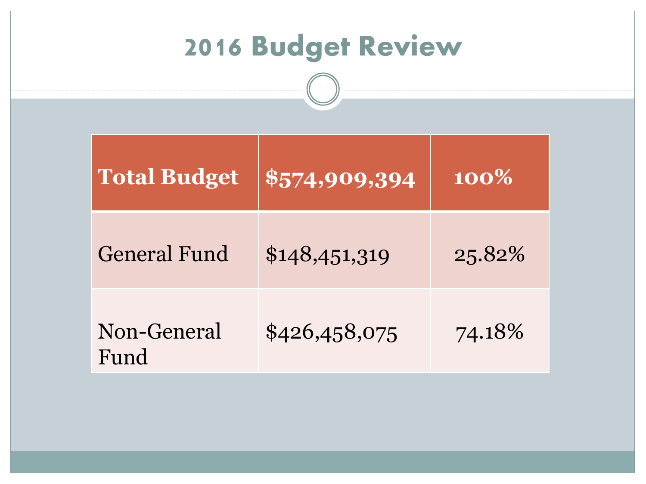| <b>2016 Budget Review</b> |               |        |  |  |  |
|---------------------------|---------------|--------|--|--|--|
| <b>Total Budget</b>       | \$574,909,394 | 100%   |  |  |  |
| <b>General Fund</b>       | \$148,451,319 | 25.82% |  |  |  |
| Non-General<br>Fund       | \$426,458,075 | 74.18% |  |  |  |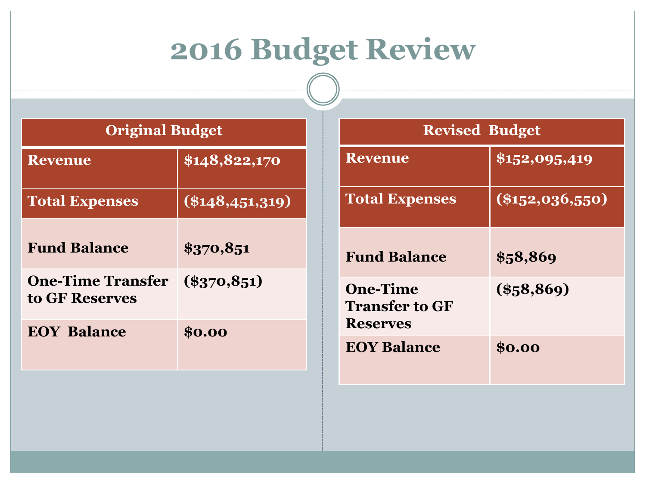# **2016 Budget Review**

| <b>Original Budget</b> |
|------------------------|
|------------------------|

| <b>Revenue</b>                             | \$148,822,170     |
|--------------------------------------------|-------------------|
| <b>Total Expenses</b>                      | $(\$148,451,319)$ |
| <b>Fund Balance</b>                        | \$370,851         |
| <b>One-Time Transfer</b><br>to GF Reserves | $(\$370,851)$     |
| <b>EOY Balance</b>                         | \$0.00            |

| <b>Revised Budget</b>                                       |                         |  |  |  |  |  |
|-------------------------------------------------------------|-------------------------|--|--|--|--|--|
| <b>Revenue</b>                                              | \$152,095,419           |  |  |  |  |  |
| <b>Total Expenses</b>                                       | $(\sqrt{3152,036,550})$ |  |  |  |  |  |
| <b>Fund Balance</b>                                         | \$58,869                |  |  |  |  |  |
| <b>One-Time</b><br><b>Transfer to GF</b><br><b>Reserves</b> | $(\$58,869)$            |  |  |  |  |  |
| <b>EOY Balance</b>                                          | \$0.00                  |  |  |  |  |  |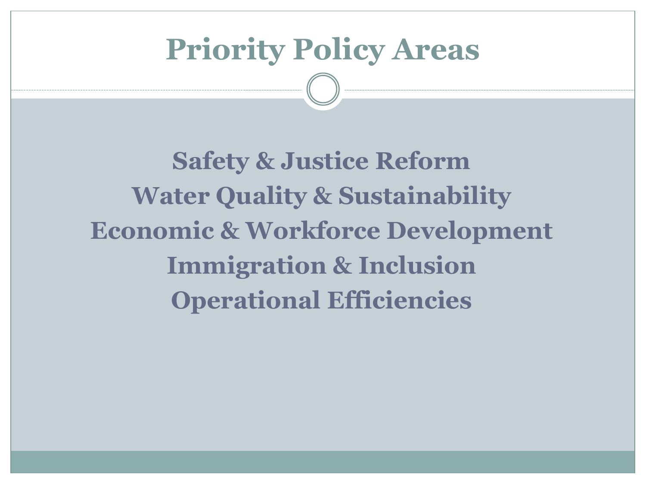### **Priority Policy Areas**

**Safety & Justice Reform Water Quality & Sustainability Economic & Workforce Development Immigration & Inclusion Operational Efficiencies**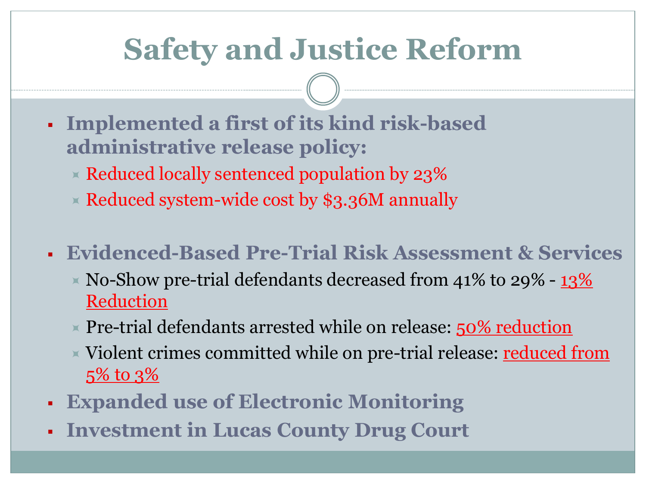# **Safety and Justice Reform**

- **Implemented a first of its kind risk-based administrative release policy:**
	- $\times$  Reduced locally sentenced population by 23%
	- $\times$  Reduced system-wide cost by \$3.36M annually
- **Evidenced-Based Pre-Trial Risk Assessment & Services**
	- $\times$  No-Show pre-trial defendants decreased from 41% to 29% 13% Reduction
	- Pre-trial defendants arrested while on release:  $50\%$  reduction
	- $\times$  Violent crimes committed while on pre-trial release:  ${\tt reduced\ from}$ 5% to 3%
- **Expanded use of Electronic Monitoring**
- **Investment in Lucas County Drug Court**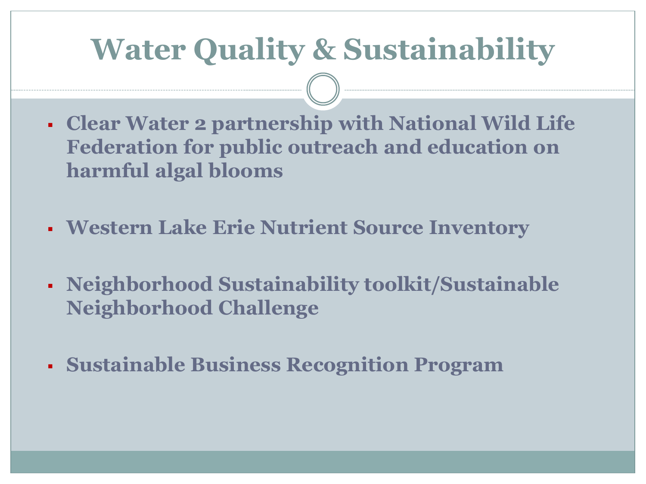## **Water Quality & Sustainability**

- **Clear Water 2 partnership with National Wild Life Federation for public outreach and education on harmful algal blooms**
- **Western Lake Erie Nutrient Source Inventory**
- **Neighborhood Sustainability toolkit/Sustainable Neighborhood Challenge**
- **Sustainable Business Recognition Program**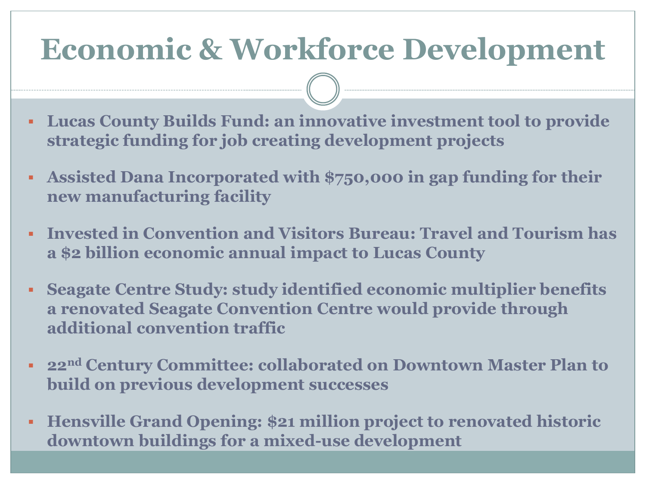## **Economic & Workforce Development**

- **Lucas County Builds Fund: an innovative investment tool to provide strategic funding for job creating development projects**
- **Assisted Dana Incorporated with \$750,000 in gap funding for their new manufacturing facility**
- **Invested in Convention and Visitors Bureau: Travel and Tourism has a \$2 billion economic annual impact to Lucas County**
- **Seagate Centre Study: study identified economic multiplier benefits a renovated Seagate Convention Centre would provide through additional convention traffic**
- **22nd Century Committee: collaborated on Downtown Master Plan to build on previous development successes**
- **Hensville Grand Opening: \$21 million project to renovated historic downtown buildings for a mixed-use development**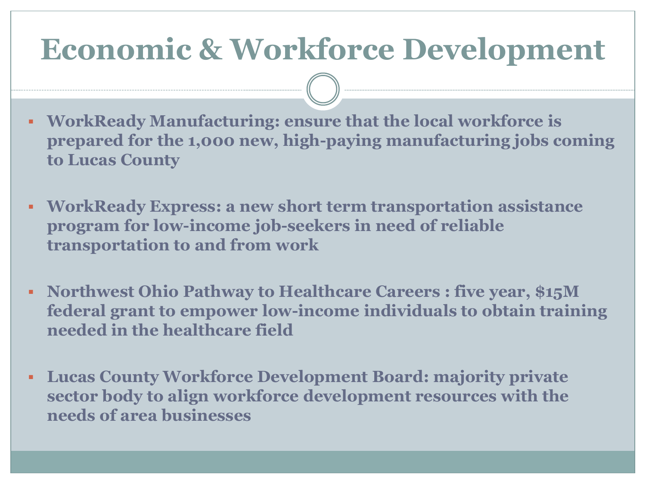### **Economic & Workforce Development**

- **WorkReady Manufacturing: ensure that the local workforce is prepared for the 1,000 new, high-paying manufacturing jobs coming to Lucas County**
- **WorkReady Express: a new short term transportation assistance program for low-income job-seekers in need of reliable transportation to and from work**
- **Northwest Ohio Pathway to Healthcare Careers : five year, \$15M federal grant to empower low-income individuals to obtain training needed in the healthcare field**
- **Lucas County Workforce Development Board: majority private sector body to align workforce development resources with the needs of area businesses**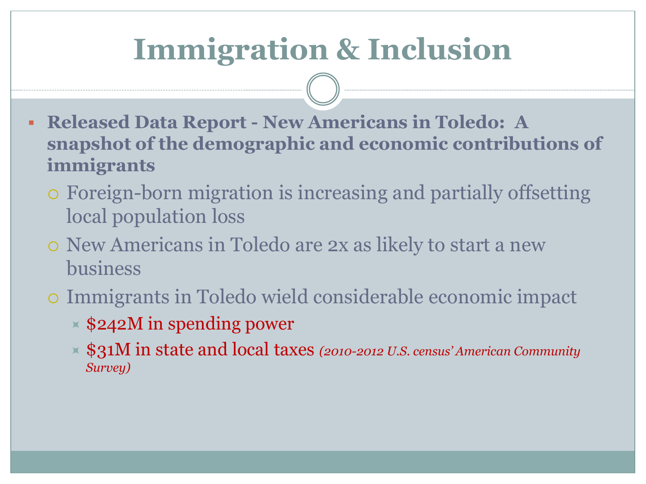# **Immigration & Inclusion**

- **Released Data Report - New Americans in Toledo: A snapshot of the demographic and economic contributions of immigrants**
	- Foreign-born migration is increasing and partially offsetting local population loss
	- New Americans in Toledo are 2x as likely to start a new business
	- Immigrants in Toledo wield considerable economic impact
		- $\times$  \$242M in spending power
		- \$31M in state and local taxes *(2010-2012 U.S. census' American Community Survey)*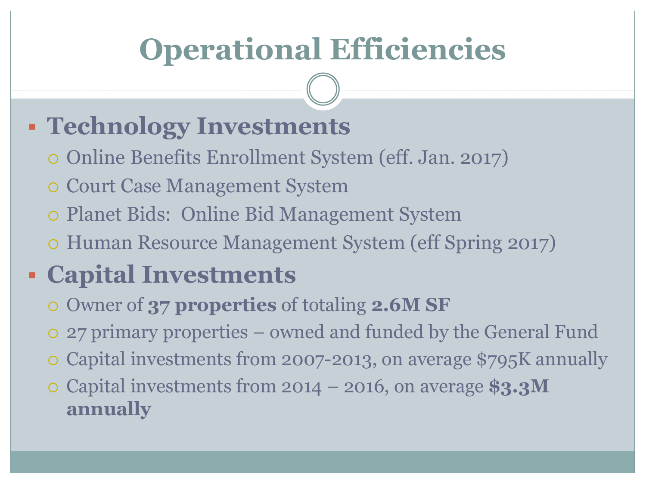# **Operational Efficiencies**

### **Technology Investments**

- Online Benefits Enrollment System (eff. Jan. 2017)
- Court Case Management System
- Planet Bids: Online Bid Management System
- Human Resource Management System (eff Spring 2017)

#### **Capital Investments**

- Owner of **37 properties** of totaling **2.6M SF**
- 27 primary properties owned and funded by the General Fund
- Capital investments from 2007-2013, on average \$795K annually
- Capital investments from 2014 2016, on average **\$3.3M annually**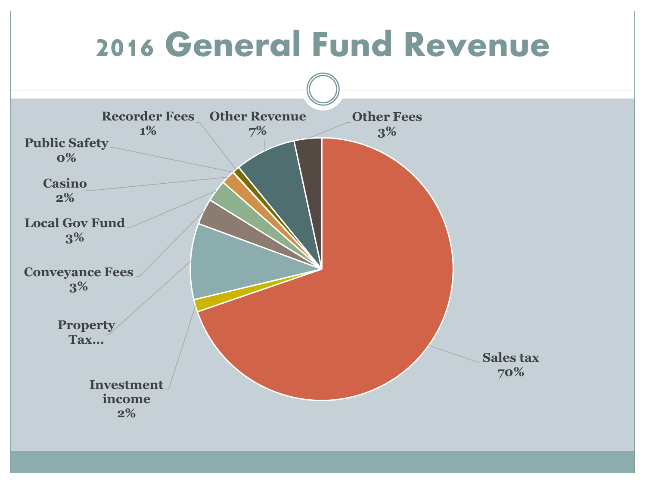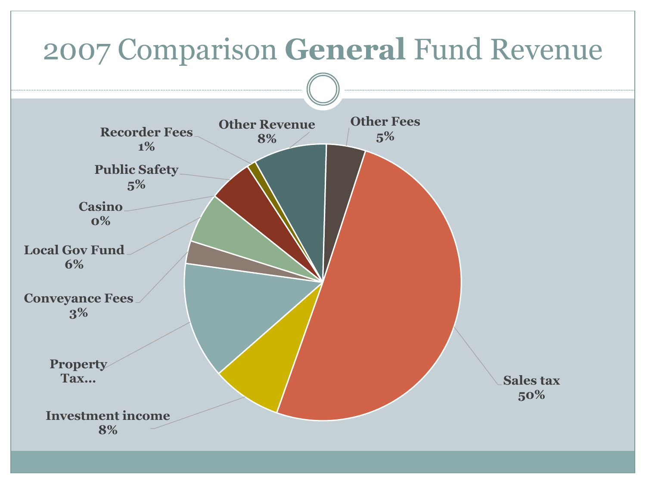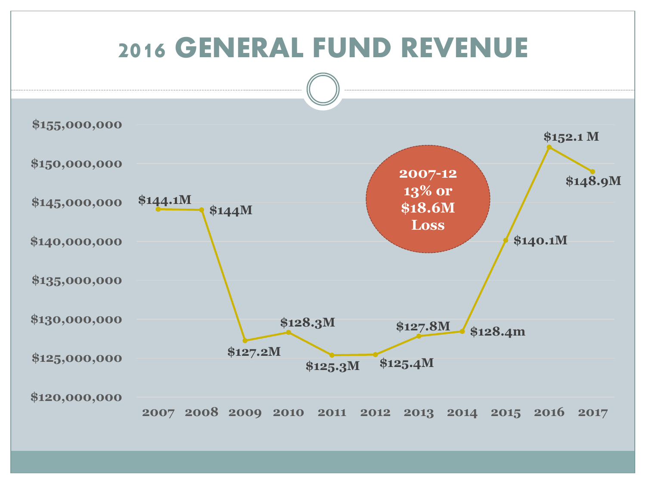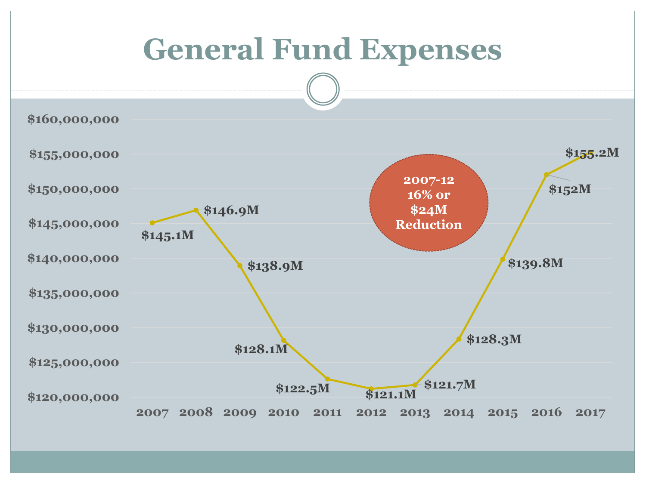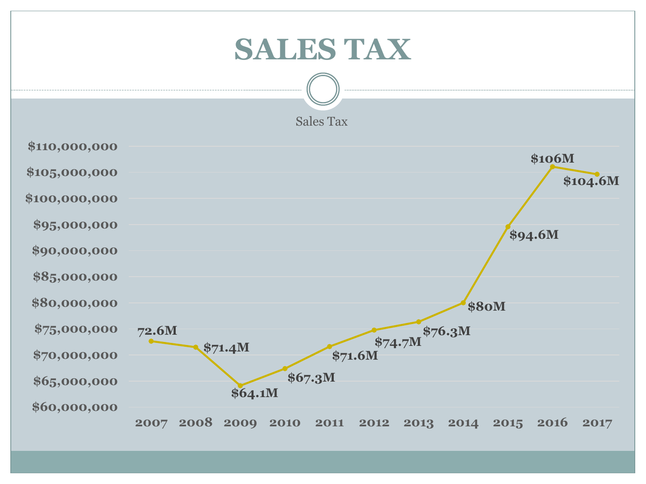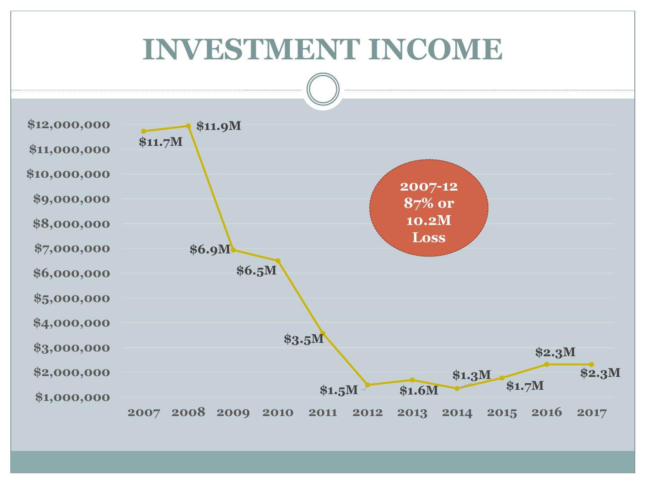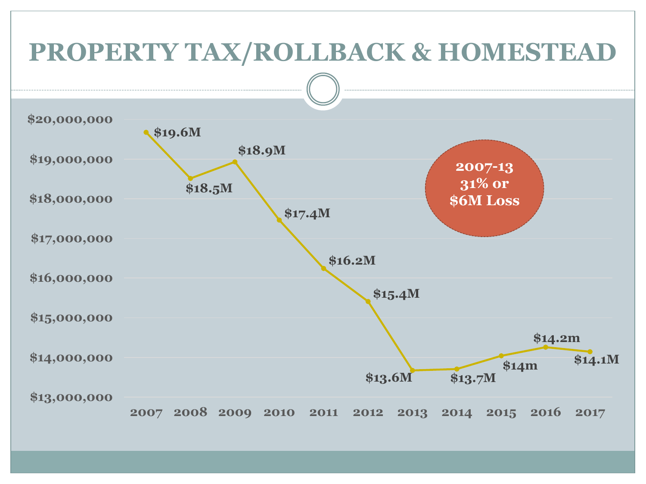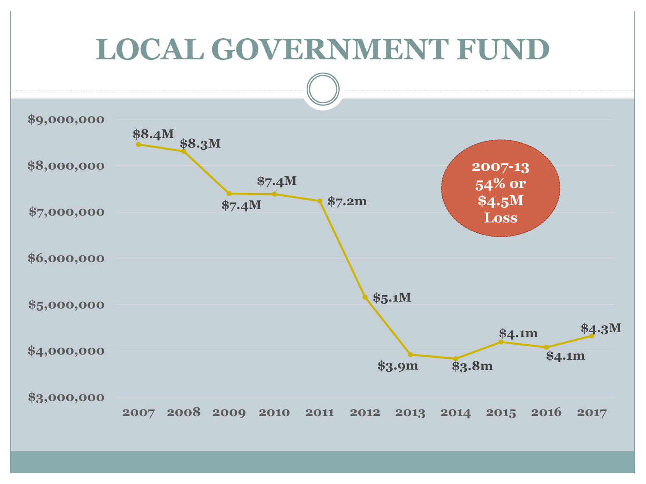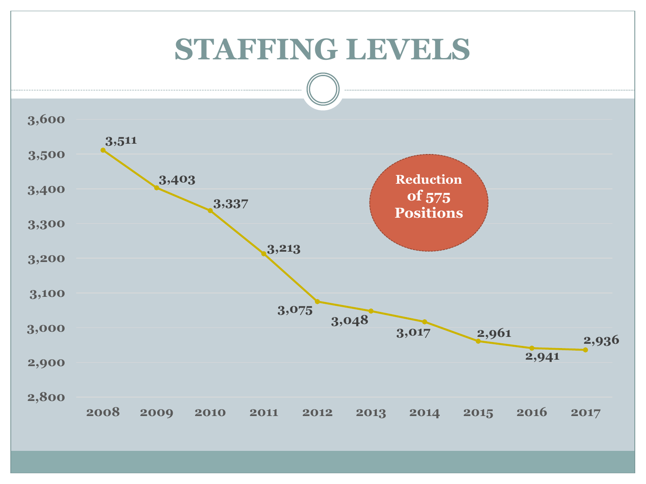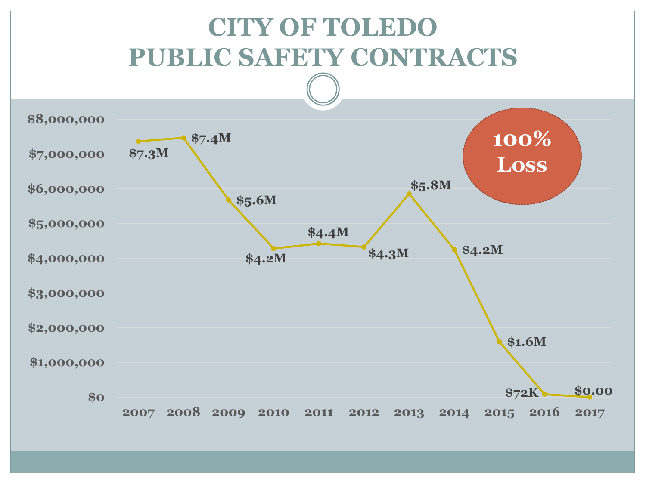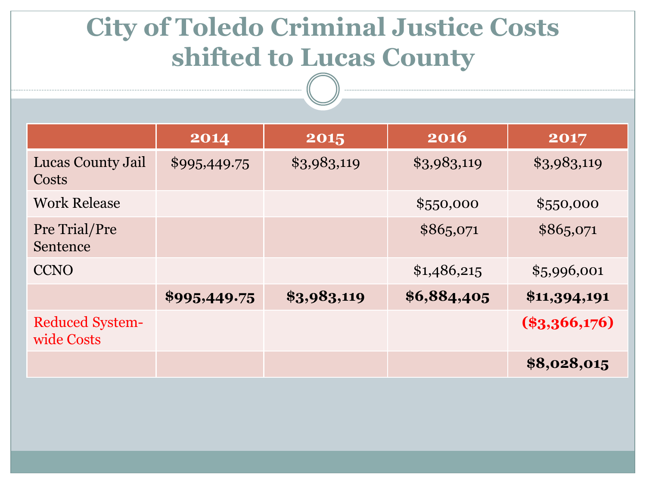### **City of Toledo Criminal Justice Costs shifted to Lucas County**

|                                      | 2014         | 2015        | 2016        | 2017            |
|--------------------------------------|--------------|-------------|-------------|-----------------|
| Lucas County Jail<br>Costs           | \$995,449.75 | \$3,983,119 | \$3,983,119 | \$3,983,119     |
| <b>Work Release</b>                  |              |             | \$550,000   | \$550,000       |
| Pre Trial/Pre<br>Sentence            |              |             | \$865,071   | \$865,071       |
| <b>CCNO</b>                          |              |             | \$1,486,215 | \$5,996,001     |
|                                      | \$995,449.75 | \$3,983,119 | \$6,884,405 | \$11,394,191    |
| <b>Reduced System-</b><br>wide Costs |              |             |             | $(\$3,366,176)$ |
|                                      |              |             |             | \$8,028,015     |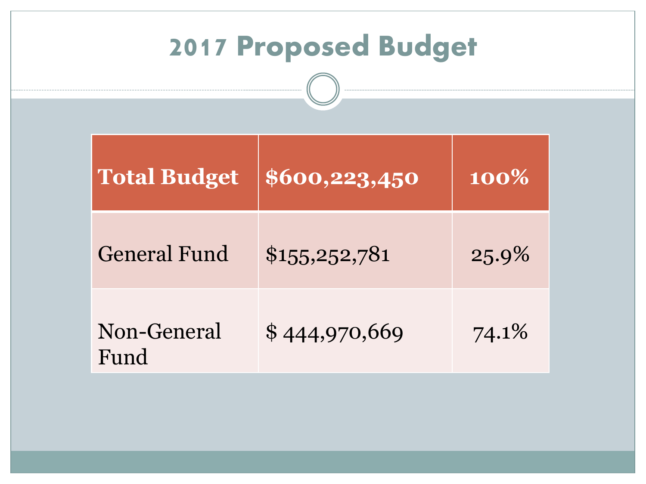| <b>2017 Proposed Budget</b> |                                   |                    |  |  |  |
|-----------------------------|-----------------------------------|--------------------|--|--|--|
|                             | <b>Total Budget \$600,223,450</b> | $\overline{100\%}$ |  |  |  |
| General Fund                | \$1,5,5,2,52,781                  | 25.9%              |  |  |  |
| Non-General<br>Fund         | \$444,970,669                     | 74.1%              |  |  |  |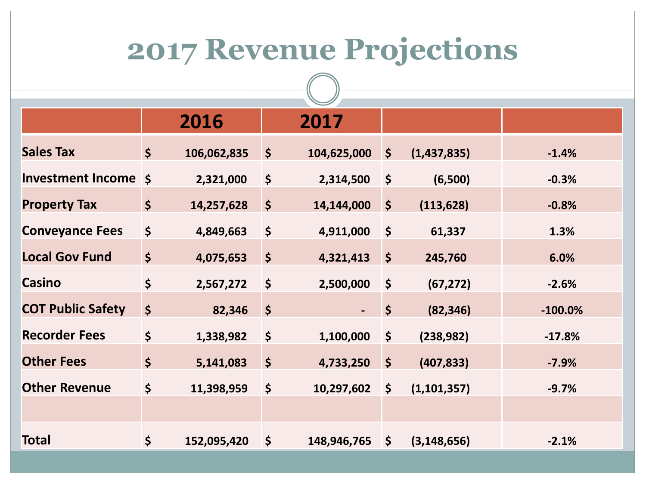# **2017 Revenue Projections**

|                          |    | 2016        |                      | 2017        |             |               |           |
|--------------------------|----|-------------|----------------------|-------------|-------------|---------------|-----------|
| <b>Sales Tax</b>         | \$ | 106,062,835 | $\boldsymbol{\zeta}$ | 104,625,000 | 5           | (1,437,835)   | $-1.4%$   |
| Investment Income \$     |    | 2,321,000   | \$                   | 2,314,500   | \$          | (6,500)       | $-0.3%$   |
| <b>Property Tax</b>      | \$ | 14,257,628  | $\boldsymbol{\zeta}$ | 14,144,000  | 5           | (113, 628)    | $-0.8%$   |
| <b>Conveyance Fees</b>   | \$ | 4,849,663   | \$                   | 4,911,000   | $\zeta$     | 61,337        | 1.3%      |
| <b>Local Gov Fund</b>    | \$ | 4,075,653   | $\boldsymbol{\zeta}$ | 4,321,413   | 5           | 245,760       | 6.0%      |
| <b>Casino</b>            | \$ | 2,567,272   | \$                   | 2,500,000   | $\zeta$     | (67, 272)     | $-2.6%$   |
| <b>COT Public Safety</b> | \$ | 82,346      | $\zeta$              |             | \$          | (82, 346)     | $-100.0%$ |
| <b>Recorder Fees</b>     | \$ | 1,338,982   | \$                   | 1,100,000   | \$          | (238, 982)    | $-17.8%$  |
| <b>Other Fees</b>        | \$ | 5,141,083   | $\varsigma$          | 4,733,250   | $\varsigma$ | (407, 833)    | $-7.9%$   |
| <b>Other Revenue</b>     | \$ | 11,398,959  | \$                   | 10,297,602  | \$          | (1, 101, 357) | $-9.7%$   |
|                          |    |             |                      |             |             |               |           |
| <b>Total</b>             | \$ | 152,095,420 | \$                   | 148,946,765 | <b>\\$</b>  | (3, 148, 656) | $-2.1%$   |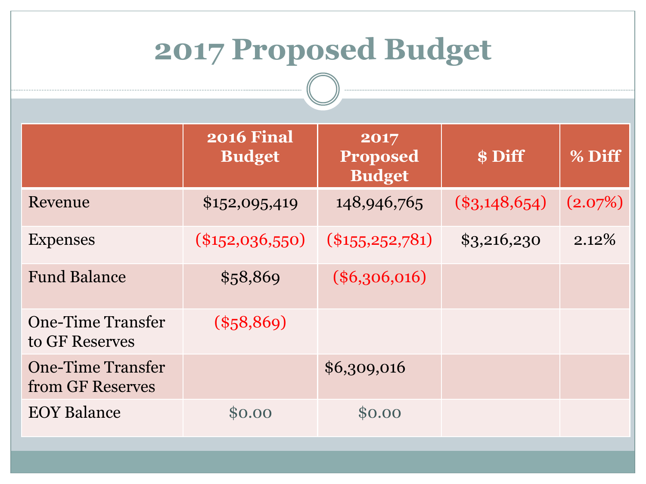# **2017 Proposed Budget**

|                                              | <b>2016 Final</b><br><b>Budget</b> | 2017<br><b>Proposed</b><br><b>Budget</b> | \$ Diff         | % Diff   |
|----------------------------------------------|------------------------------------|------------------------------------------|-----------------|----------|
| Revenue                                      | \$152,095,419                      | 148,946,765                              | $(\$3,148,654)$ | (2.07%)  |
| <b>Expenses</b>                              | $(\$152,036,550)$                  | $(\$155, 252, 781)$                      | \$3,216,230     | $2.12\%$ |
| <b>Fund Balance</b>                          | \$58,869                           | $(\$6,306,016)$                          |                 |          |
| <b>One-Time Transfer</b><br>to GF Reserves   | $(\$58,869)$                       |                                          |                 |          |
| <b>One-Time Transfer</b><br>from GF Reserves |                                    | \$6,309,016                              |                 |          |
| <b>EOY Balance</b>                           | \$0.00                             | \$0.00                                   |                 |          |